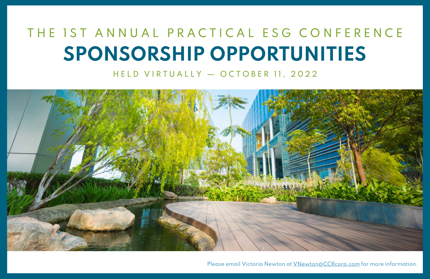# **SPONSORSHIP OPPORTUNITIES** THE IST ANNUAL PRACTICAL ESG CONFERENCE HELD VIRTUALLY - OCTOBER 11, 2022



Please email Victoria Newton at *[VNewton@CCRcorp.com](http://ccrcorp.com/)* for more information.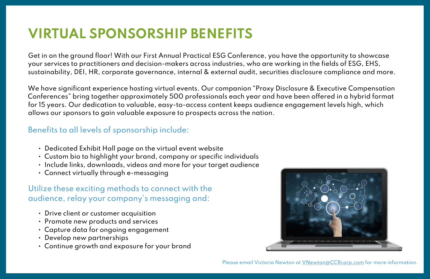Get in on the ground floor! With our First Annual Practical ESG Conference, you have the opportunity to showcase your services to practitioners and decision-makers across industries, who are working in the fields of ESG, EHS, sustainability, DEI, HR, corporate governance, internal & external audit, securities disclosure compliance and more.

We have significant experience hosting virtual events. Our companion "Proxy Disclosure & Executive Compensation Conferences" bring together approximately 500 professionals each year and have been offered in a hybrid format for 15 years. Our dedication to valuable, easy-to-access content keeps audience engagement levels high, which allows our sponsors to gain valuable exposure to prospects across the nation.

#### Benefits to all levels of sponsorship include:

- Dedicated Exhibit Hall page on the virtual event website
- Custom bio to highlight your brand, company or specific individuals
- Include links, downloads, videos and more for your target audience
- Connect virtually through e-messaging

#### Utilize these exciting methods to connect with the audience, relay your company's messaging and:

- Drive client or customer acquisition
- Promote new products and services
- Capture data for ongoing engagement
- Develop new partnerships
- Continue growth and exposure for your brand



Please email Victoria Newton at *[VNewton@CCRcorp.com](http://ccrcorp.com/)* for more information.

## **VIRTUAL SPONSORSHIP BENEFITS**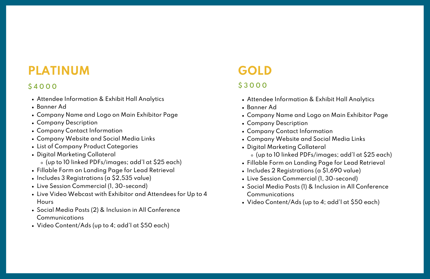### **PLATINUM**

- Attendee Information & Exhibit Hall Analytics
- Banner Ad
- Company Name and Logo on Main Exhibitor Page
- Company Description
- Company Contact Information
- Company Website and Social Media Links
- List of Company Product Categories
- Digital Marketing Collateral (up to 10 linked PDFs/images; add'l at \$25 each)
- Fillable Form on Landing Page for Lead Retrieval
- Includes 3 Registrations (a \$2,535 value)
- Live Session Commercial (1, 30-second)
- Live Video Webcast with Exhibitor and Attendees for Up to 4 Hours
- Social Media Posts (2) & Inclusion in All Conference Communications
- Video Content/Ads (up to 4; add'l at \$50 each)

#### **\$ 4 0 0 0**

## **GOLD**

(up to 10 linked PDFs/images; add'l at \$25 each)

- Attendee Information & Exhibit Hall Analytics
- Banner Ad
- Company Name and Logo on Main Exhibitor Page
- Company Description
- Company Contact Information
- Company Website and Social Media Links
- Digital Marketing Collateral
- Fillable Form on Landing Page for Lead Retrieval
- Includes 2 Registrations (a \$1,690 value)
- Live Session Commercial (1, 30-second)
- Social Media Posts (1) & Inclusion in All Conference Communications
- Video Content/Ads (up to 4; add'l at \$50 each)

#### **\$ 3 0 0 0**